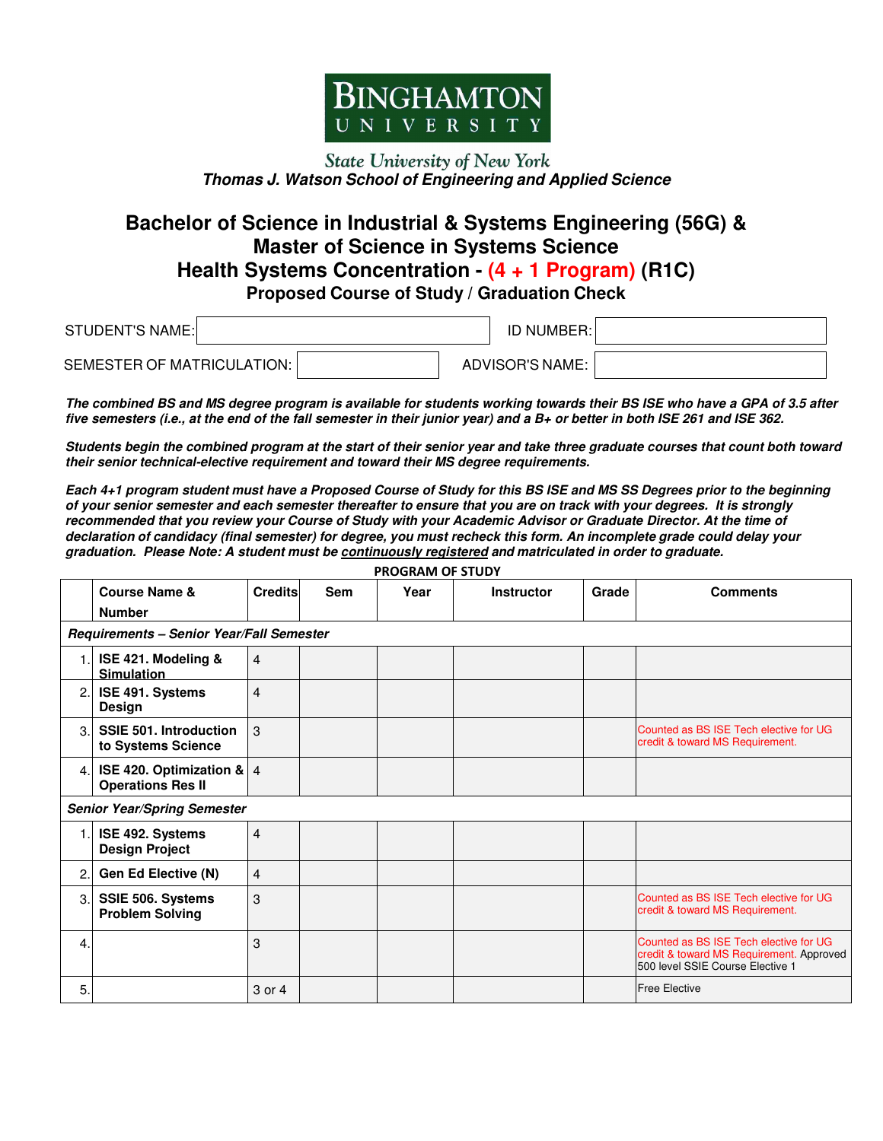

## **State University of New York Thomas J. Watson School of Engineering and Applied Science**

## **Bachelor of Science in Industrial & Systems Engineering (56G) & Master of Science in Systems Science Health Systems Concentration - (4 + 1 Program) (R1C)**

**Proposed Course of Study / Graduation Check**

| <b>STUDENT'S NAME:</b>     | <b>ID NUMBER:</b> |  |
|----------------------------|-------------------|--|
| SEMESTER OF MATRICULATION: | ADVISOR'S NAME:   |  |

**The combined BS and MS degree program is available for students working towards their BS ISE who have a GPA of 3.5 after five semesters (i.e., at the end of the fall semester in their junior year) and a B+ or better in both ISE 261 and ISE 362.** 

**Students begin the combined program at the start of their senior year and take three graduate courses that count both toward their senior technical-elective requirement and toward their MS degree requirements.** 

**Each 4+1 program student must have a Proposed Course of Study for this BS ISE and MS SS Degrees prior to the beginning of your senior semester and each semester thereafter to ensure that you are on track with your degrees. It is strongly recommended that you review your Course of Study with your Academic Advisor or Graduate Director. At the time of declaration of candidacy (final semester) for degree, you must recheck this form. An incomplete grade could delay your graduation. Please Note: A student must be continuously registered and matriculated in order to graduate.**

| <b>PROGRAM OF STUDY</b> |                                                           |                |            |      |                   |       |                                                                                                                        |
|-------------------------|-----------------------------------------------------------|----------------|------------|------|-------------------|-------|------------------------------------------------------------------------------------------------------------------------|
|                         | <b>Course Name &amp;</b>                                  | <b>Credits</b> | <b>Sem</b> | Year | <b>Instructor</b> | Grade | <b>Comments</b>                                                                                                        |
|                         | <b>Number</b>                                             |                |            |      |                   |       |                                                                                                                        |
|                         | Requirements - Senior Year/Fall Semester                  |                |            |      |                   |       |                                                                                                                        |
| 1.                      | ISE 421. Modeling &<br><b>Simulation</b>                  | $\overline{4}$ |            |      |                   |       |                                                                                                                        |
| 2.                      | ISE 491. Systems<br>Design                                | $\overline{4}$ |            |      |                   |       |                                                                                                                        |
| 3.                      | <b>SSIE 501. Introduction</b><br>to Systems Science       | 3              |            |      |                   |       | Counted as BS ISE Tech elective for UG<br>credit & toward MS Requirement.                                              |
| 4.                      | ISE 420. Optimization & $ 4 $<br><b>Operations Res II</b> |                |            |      |                   |       |                                                                                                                        |
|                         | <b>Senior Year/Spring Semester</b>                        |                |            |      |                   |       |                                                                                                                        |
| 1.                      | ISE 492. Systems<br><b>Design Project</b>                 | $\overline{4}$ |            |      |                   |       |                                                                                                                        |
| 2.                      | <b>Gen Ed Elective (N)</b>                                | $\overline{4}$ |            |      |                   |       |                                                                                                                        |
| З.                      | SSIE 506. Systems<br><b>Problem Solving</b>               | 3              |            |      |                   |       | Counted as BS ISE Tech elective for UG<br>credit & toward MS Requirement.                                              |
| 4.                      |                                                           | 3              |            |      |                   |       | Counted as BS ISE Tech elective for UG<br>credit & toward MS Requirement. Approved<br>500 level SSIE Course Elective 1 |
| 5.                      |                                                           | 3 or 4         |            |      |                   |       | <b>Free Elective</b>                                                                                                   |